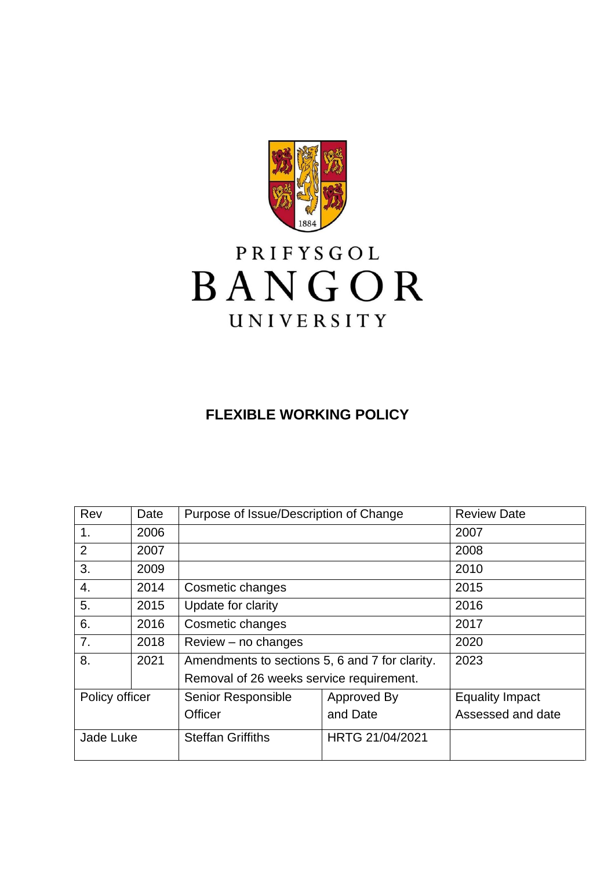

# PRIFYSGOL BANGOR UNIVERSITY

## **FLEXIBLE WORKING POLICY**

| Rev            | Date | Purpose of Issue/Description of Change         |                 | <b>Review Date</b>     |
|----------------|------|------------------------------------------------|-----------------|------------------------|
| 1.             | 2006 |                                                |                 | 2007                   |
| $\overline{2}$ | 2007 |                                                |                 | 2008                   |
| 3.             | 2009 |                                                |                 | 2010                   |
| 4.             | 2014 | Cosmetic changes                               |                 | 2015                   |
| 5.             | 2015 | Update for clarity                             |                 | 2016                   |
| 6.             | 2016 | Cosmetic changes                               |                 | 2017                   |
| 7.             | 2018 | $Review - no changes$                          |                 | 2020                   |
| 8.             | 2021 | Amendments to sections 5, 6 and 7 for clarity. |                 | 2023                   |
|                |      | Removal of 26 weeks service requirement.       |                 |                        |
| Policy officer |      | Senior Responsible                             | Approved By     | <b>Equality Impact</b> |
|                |      | <b>Officer</b>                                 | and Date        | Assessed and date      |
| Jade Luke      |      | <b>Steffan Griffiths</b>                       | HRTG 21/04/2021 |                        |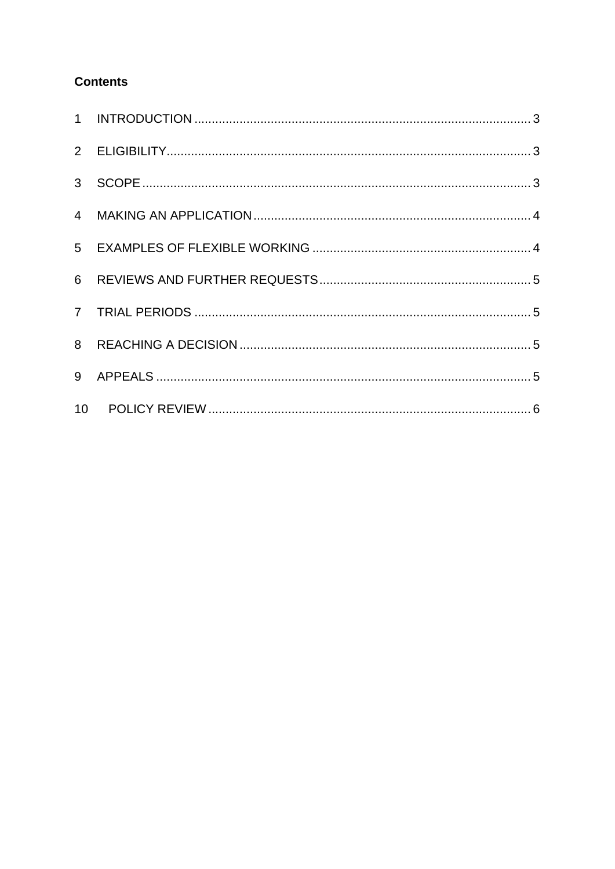#### **Contents**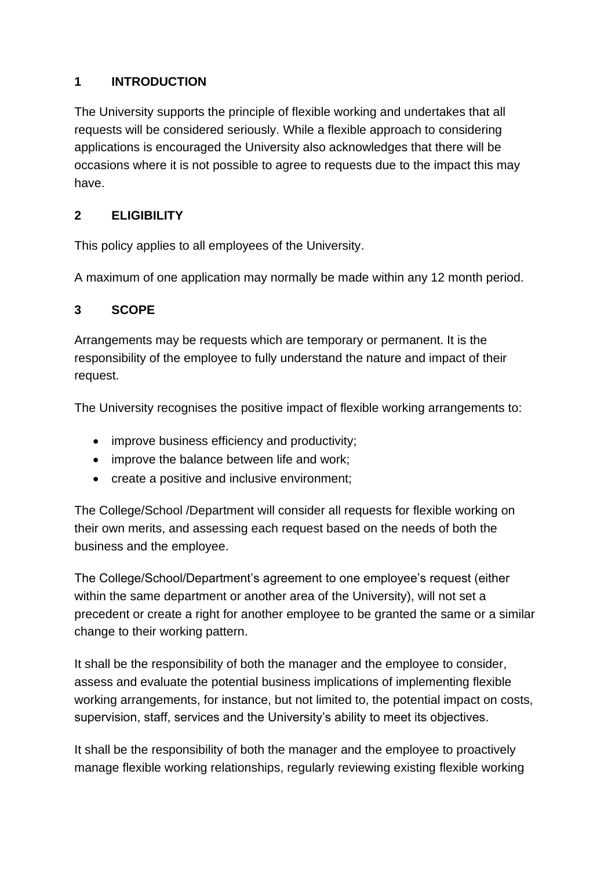#### <span id="page-2-0"></span>**1 INTRODUCTION**

The University supports the principle of flexible working and undertakes that all requests will be considered seriously. While a flexible approach to considering applications is encouraged the University also acknowledges that there will be occasions where it is not possible to agree to requests due to the impact this may have.

#### <span id="page-2-1"></span>**2 ELIGIBILITY**

This policy applies to all employees of the University.

A maximum of one application may normally be made within any 12 month period.

#### <span id="page-2-2"></span>**3 SCOPE**

Arrangements may be requests which are temporary or permanent. It is the responsibility of the employee to fully understand the nature and impact of their request.

The University recognises the positive impact of flexible working arrangements to:

- improve business efficiency and productivity;
- improve the balance between life and work;
- create a positive and inclusive environment;

The College/School /Department will consider all requests for flexible working on their own merits, and assessing each request based on the needs of both the business and the employee.

The College/School/Department's agreement to one employee's request (either within the same department or another area of the University), will not set a precedent or create a right for another employee to be granted the same or a similar change to their working pattern.

It shall be the responsibility of both the manager and the employee to consider, assess and evaluate the potential business implications of implementing flexible working arrangements, for instance, but not limited to, the potential impact on costs, supervision, staff, services and the University's ability to meet its objectives.

It shall be the responsibility of both the manager and the employee to proactively manage flexible working relationships, regularly reviewing existing flexible working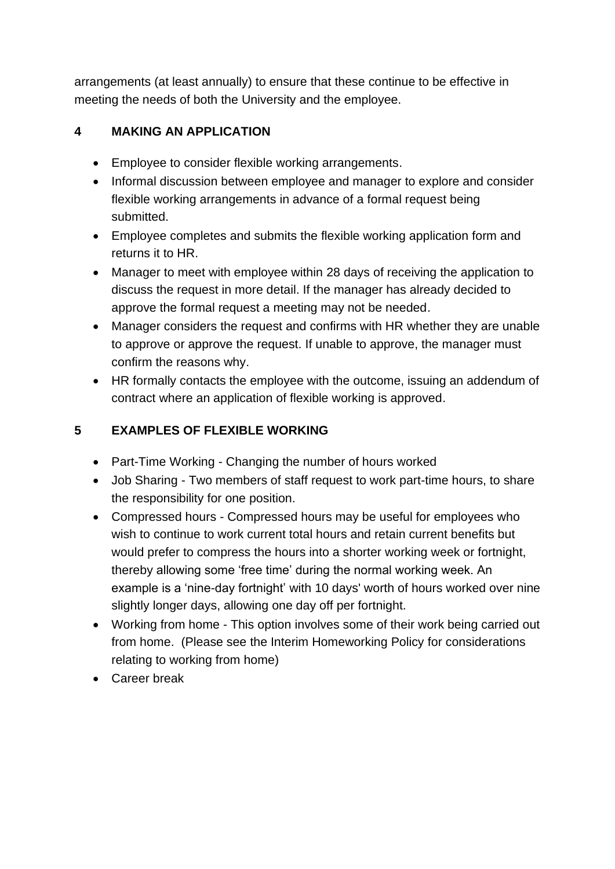arrangements (at least annually) to ensure that these continue to be effective in meeting the needs of both the University and the employee.

#### <span id="page-3-0"></span>**4 MAKING AN APPLICATION**

- Employee to consider flexible working arrangements.
- Informal discussion between employee and manager to explore and consider flexible working arrangements in advance of a formal request being submitted.
- Employee completes and submits the flexible working application form and returns it to HR.
- Manager to meet with employee within 28 days of receiving the application to discuss the request in more detail. If the manager has already decided to approve the formal request a meeting may not be needed.
- Manager considers the request and confirms with HR whether they are unable to approve or approve the request. If unable to approve, the manager must confirm the reasons why.
- HR formally contacts the employee with the outcome, issuing an addendum of contract where an application of flexible working is approved.

#### <span id="page-3-1"></span>**5 EXAMPLES OF FLEXIBLE WORKING**

- Part-Time Working Changing the number of hours worked
- Job Sharing Two members of staff request to work part-time hours, to share the responsibility for one position.
- Compressed hours Compressed hours may be useful for employees who wish to continue to work current total hours and retain current benefits but would prefer to compress the hours into a shorter working week or fortnight, thereby allowing some 'free time' during the normal working week. An example is a 'nine-day fortnight' with 10 days' worth of hours worked over nine slightly longer days, allowing one day off per fortnight.
- Working from home This option involves some of their work being carried out from home. (Please see the Interim Homeworking Policy for considerations relating to working from home)
- Career break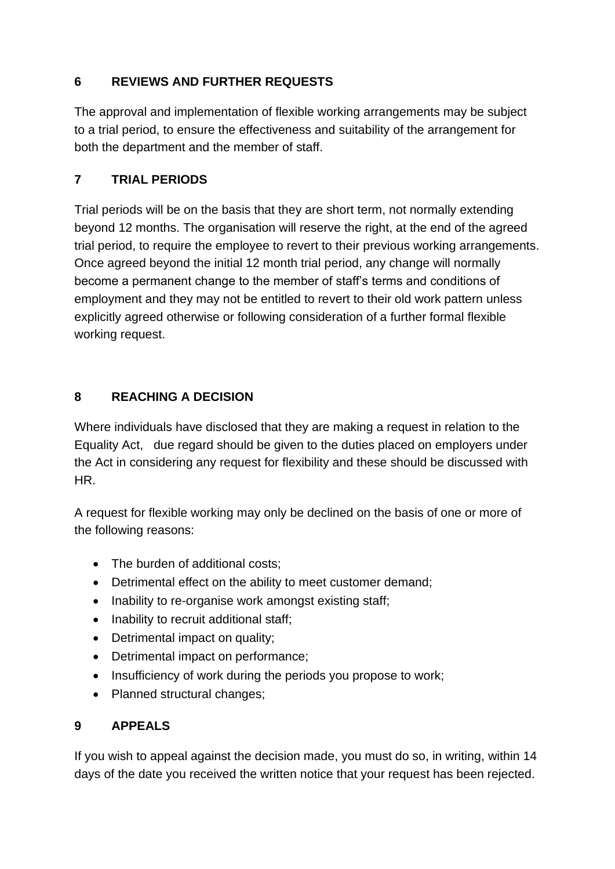#### <span id="page-4-0"></span>**6 REVIEWS AND FURTHER REQUESTS**

The approval and implementation of flexible working arrangements may be subject to a trial period, to ensure the effectiveness and suitability of the arrangement for both the department and the member of staff.

### <span id="page-4-1"></span>**7 TRIAL PERIODS**

Trial periods will be on the basis that they are short term, not normally extending beyond 12 months. The organisation will reserve the right, at the end of the agreed trial period, to require the employee to revert to their previous working arrangements. Once agreed beyond the initial 12 month trial period, any change will normally become a permanent change to the member of staff's terms and conditions of employment and they may not be entitled to revert to their old work pattern unless explicitly agreed otherwise or following consideration of a further formal flexible working request.

#### <span id="page-4-2"></span>**8 REACHING A DECISION**

Where individuals have disclosed that they are making a request in relation to the Equality Act, due regard should be given to the duties placed on employers under the Act in considering any request for flexibility and these should be discussed with HR.

A request for flexible working may only be declined on the basis of one or more of the following reasons:

- The burden of additional costs;
- Detrimental effect on the ability to meet customer demand;
- Inability to re-organise work amongst existing staff;
- Inability to recruit additional staff;
- Detrimental impact on quality;
- Detrimental impact on performance;
- Insufficiency of work during the periods you propose to work;
- Planned structural changes;

### <span id="page-4-3"></span>**9 APPEALS**

If you wish to appeal against the decision made, you must do so, in writing, within 14 days of the date you received the written notice that your request has been rejected.